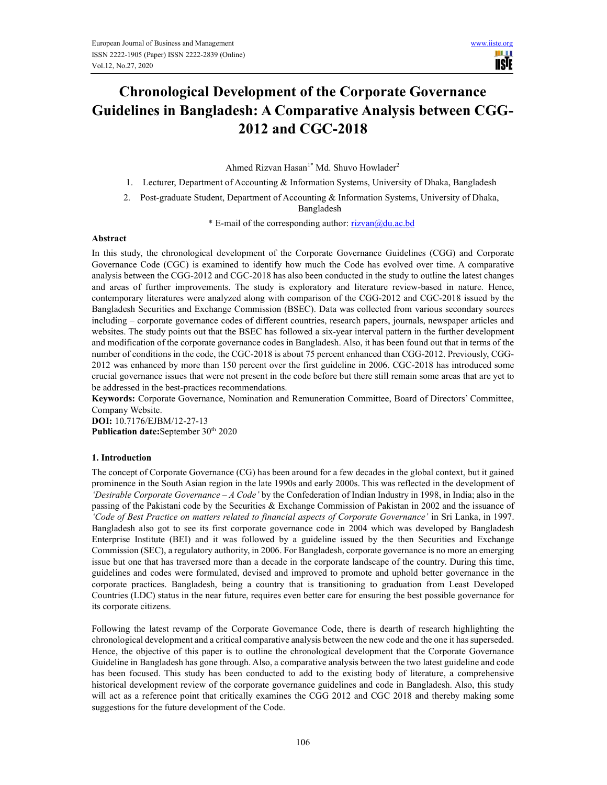ШIJ **IISIE** 

# Chronological Development of the Corporate Governance Guidelines in Bangladesh: A Comparative Analysis between CGG-2012 and CGC-2018

Ahmed Rizvan Hasan<sup>1\*</sup> Md. Shuvo Howlader<sup>2</sup>

1. Lecturer, Department of Accounting & Information Systems, University of Dhaka, Bangladesh

2. Post-graduate Student, Department of Accounting & Information Systems, University of Dhaka, Bangladesh

\* E-mail of the corresponding author: rizvan@du.ac.bd

#### Abstract

In this study, the chronological development of the Corporate Governance Guidelines (CGG) and Corporate Governance Code (CGC) is examined to identify how much the Code has evolved over time. A comparative analysis between the CGG-2012 and CGC-2018 has also been conducted in the study to outline the latest changes and areas of further improvements. The study is exploratory and literature review-based in nature. Hence, contemporary literatures were analyzed along with comparison of the CGG-2012 and CGC-2018 issued by the Bangladesh Securities and Exchange Commission (BSEC). Data was collected from various secondary sources including – corporate governance codes of different countries, research papers, journals, newspaper articles and websites. The study points out that the BSEC has followed a six-year interval pattern in the further development and modification of the corporate governance codes in Bangladesh. Also, it has been found out that in terms of the number of conditions in the code, the CGC-2018 is about 75 percent enhanced than CGG-2012. Previously, CGG-2012 was enhanced by more than 150 percent over the first guideline in 2006. CGC-2018 has introduced some crucial governance issues that were not present in the code before but there still remain some areas that are yet to be addressed in the best-practices recommendations.

Keywords: Corporate Governance, Nomination and Remuneration Committee, Board of Directors' Committee, Company Website.

DOI: 10.7176/EJBM/12-27-13 Publication date: September 30<sup>th</sup> 2020

#### 1. Introduction

The concept of Corporate Governance (CG) has been around for a few decades in the global context, but it gained prominence in the South Asian region in the late 1990s and early 2000s. This was reflected in the development of 'Desirable Corporate Governance  $-A$  Code' by the Confederation of Indian Industry in 1998, in India; also in the passing of the Pakistani code by the Securities & Exchange Commission of Pakistan in 2002 and the issuance of 'Code of Best Practice on matters related to financial aspects of Corporate Governance' in Sri Lanka, in 1997. Bangladesh also got to see its first corporate governance code in 2004 which was developed by Bangladesh Enterprise Institute (BEI) and it was followed by a guideline issued by the then Securities and Exchange Commission (SEC), a regulatory authority, in 2006. For Bangladesh, corporate governance is no more an emerging issue but one that has traversed more than a decade in the corporate landscape of the country. During this time, guidelines and codes were formulated, devised and improved to promote and uphold better governance in the corporate practices. Bangladesh, being a country that is transitioning to graduation from Least Developed Countries (LDC) status in the near future, requires even better care for ensuring the best possible governance for its corporate citizens.

Following the latest revamp of the Corporate Governance Code, there is dearth of research highlighting the chronological development and a critical comparative analysis between the new code and the one it has superseded. Hence, the objective of this paper is to outline the chronological development that the Corporate Governance Guideline in Bangladesh has gone through. Also, a comparative analysis between the two latest guideline and code has been focused. This study has been conducted to add to the existing body of literature, a comprehensive historical development review of the corporate governance guidelines and code in Bangladesh. Also, this study will act as a reference point that critically examines the CGG 2012 and CGC 2018 and thereby making some suggestions for the future development of the Code.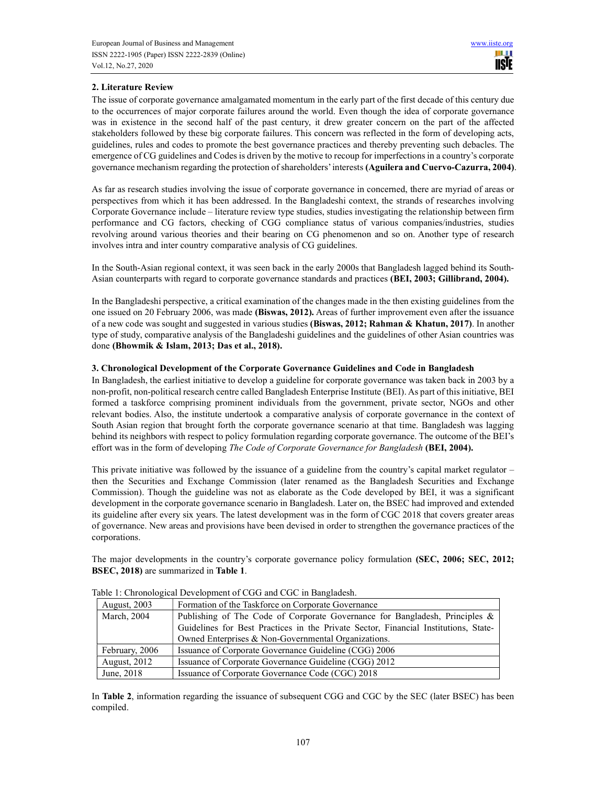## 2. Literature Review

The issue of corporate governance amalgamated momentum in the early part of the first decade of this century due to the occurrences of major corporate failures around the world. Even though the idea of corporate governance was in existence in the second half of the past century, it drew greater concern on the part of the affected stakeholders followed by these big corporate failures. This concern was reflected in the form of developing acts, guidelines, rules and codes to promote the best governance practices and thereby preventing such debacles. The emergence of CG guidelines and Codes is driven by the motive to recoup for imperfections in a country's corporate governance mechanism regarding the protection of shareholders' interests (Aguilera and Cuervo-Cazurra, 2004).

As far as research studies involving the issue of corporate governance in concerned, there are myriad of areas or perspectives from which it has been addressed. In the Bangladeshi context, the strands of researches involving Corporate Governance include – literature review type studies, studies investigating the relationship between firm performance and CG factors, checking of CGG compliance status of various companies/industries, studies revolving around various theories and their bearing on CG phenomenon and so on. Another type of research involves intra and inter country comparative analysis of CG guidelines.

In the South-Asian regional context, it was seen back in the early 2000s that Bangladesh lagged behind its South-Asian counterparts with regard to corporate governance standards and practices (BEI, 2003; Gillibrand, 2004).

In the Bangladeshi perspective, a critical examination of the changes made in the then existing guidelines from the one issued on 20 February 2006, was made (Biswas, 2012). Areas of further improvement even after the issuance of a new code was sought and suggested in various studies (Biswas, 2012; Rahman & Khatun, 2017). In another type of study, comparative analysis of the Bangladeshi guidelines and the guidelines of other Asian countries was done (Bhowmik & Islam, 2013; Das et al., 2018).

### 3. Chronological Development of the Corporate Governance Guidelines and Code in Bangladesh

In Bangladesh, the earliest initiative to develop a guideline for corporate governance was taken back in 2003 by a non-profit, non-political research centre called Bangladesh Enterprise Institute (BEI). As part of this initiative, BEI formed a taskforce comprising prominent individuals from the government, private sector, NGOs and other relevant bodies. Also, the institute undertook a comparative analysis of corporate governance in the context of South Asian region that brought forth the corporate governance scenario at that time. Bangladesh was lagging behind its neighbors with respect to policy formulation regarding corporate governance. The outcome of the BEI's effort was in the form of developing The Code of Corporate Governance for Bangladesh (BEI, 2004).

This private initiative was followed by the issuance of a guideline from the country's capital market regulator – then the Securities and Exchange Commission (later renamed as the Bangladesh Securities and Exchange Commission). Though the guideline was not as elaborate as the Code developed by BEI, it was a significant development in the corporate governance scenario in Bangladesh. Later on, the BSEC had improved and extended its guideline after every six years. The latest development was in the form of CGC 2018 that covers greater areas of governance. New areas and provisions have been devised in order to strengthen the governance practices of the corporations.

The major developments in the country's corporate governance policy formulation (SEC, 2006; SEC, 2012; BSEC, 2018) are summarized in Table 1.

| <b>August, 2003</b> | Formation of the Taskforce on Corporate Governance                                  |
|---------------------|-------------------------------------------------------------------------------------|
| March, 2004         | Publishing of The Code of Corporate Governance for Bangladesh, Principles &         |
|                     | Guidelines for Best Practices in the Private Sector, Financial Institutions, State- |
|                     | Owned Enterprises & Non-Governmental Organizations.                                 |
| February, 2006      | Issuance of Corporate Governance Guideline (CGG) 2006                               |
| <b>August, 2012</b> | Issuance of Corporate Governance Guideline (CGG) 2012                               |
| June, 2018          | Issuance of Corporate Governance Code (CGC) 2018                                    |

Table 1: Chronological Development of CGG and CGC in Bangladesh.

In Table 2, information regarding the issuance of subsequent CGG and CGC by the SEC (later BSEC) has been compiled.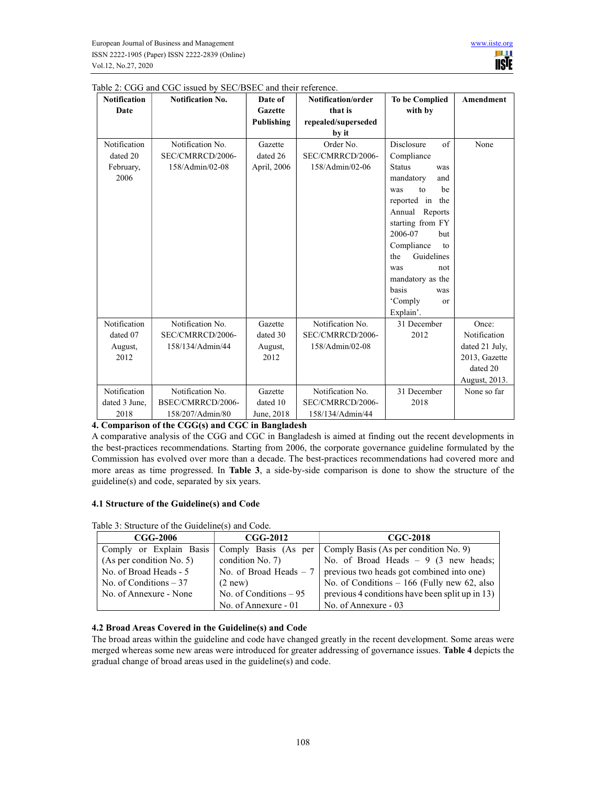Notification Date

Notification dated 20 February, 2006

Notification dated 07 August, 2012

Notification dated 3 June, 2018

| <b>Notification No.</b> | Date of<br><b>Gazette</b> | Notification/order<br>that is | <b>To be Complied</b><br>with by | Amendment      |
|-------------------------|---------------------------|-------------------------------|----------------------------------|----------------|
|                         | <b>Publishing</b>         | repealed/superseded           |                                  |                |
|                         |                           | by it                         |                                  |                |
| Notification No.        | Gazette                   | Order No.                     | Disclosure<br>of                 | None           |
| SEC/CMRRCD/2006-        | dated 26                  | SEC/CMRRCD/2006-              | Compliance                       |                |
| 158/Admin/02-08         | April, 2006               | 158/Admin/02-06               | <b>Status</b><br>was             |                |
|                         |                           |                               | mandatory<br>and                 |                |
|                         |                           |                               | he<br>$\mathsf{to}$<br>was       |                |
|                         |                           |                               | reported in the                  |                |
|                         |                           |                               | Annual Reports                   |                |
|                         |                           |                               | starting from FY                 |                |
|                         |                           |                               | 2006-07<br>hut                   |                |
|                         |                           |                               | Compliance<br>to                 |                |
|                         |                           |                               | Guidelines<br>the                |                |
|                         |                           |                               | was<br>not                       |                |
|                         |                           |                               | mandatory as the                 |                |
|                         |                           |                               | basis<br>was                     |                |
|                         |                           |                               | 'Comply<br>or                    |                |
|                         |                           |                               | Explain'.                        |                |
| Notification No.        | Gazette                   | Notification No.              | 31 December                      | Once:          |
| SEC/CMRRCD/2006-        | dated 30                  | SEC/CMRRCD/2006-              | 2012                             | Notification   |
| 158/134/Admin/44        | August,                   | 158/Admin/02-08               |                                  | dated 21 July, |
|                         | 2012                      |                               |                                  | 2013, Gazette  |
|                         |                           |                               |                                  | dated 20       |

Notification No. SEC/CMRRCD/2006- 158/134/Admin/44

August, 2013.

HI I **IISIE** 

None so far

31 December 2018

## Table 2: CGG and

the best-practices recommendations. Starting from 2006, the corporate governance guideline formulated by the Commission has evolved over more than a decade. The best-practices recommendations had covered more and more areas as time progressed. In Table 3, a side-by-side comparison is done to show the structure of the guideline(s) and code, separated by six years.

A comparative analysis of the CGG and CGC in Bangladesh is aimed at finding out the recent developments in

Gazette dated 10 June, 2018

#### 4.1 Structure of the Guideline(s) and Code

Notification No. BSEC/CMRRCD/2006- 158/207/Admin/80

4. Comparison of the CGG(s) and CGC in Bangladesh

Table 3: Structure of the Guideline(s) and Code.

| <b>CGG-2006</b>          | $CGG-2012$              | <b>CGC-2018</b>                                                     |  |  |
|--------------------------|-------------------------|---------------------------------------------------------------------|--|--|
| Comply or Explain Basis  | Comply Basis (As per    | Comply Basis (As per condition No. 9)                               |  |  |
| (As per condition No. 5) | condition $No. 7$ )     | No. of Broad Heads $-9$ (3 new heads;                               |  |  |
| No. of Broad Heads - 5   |                         | No. of Broad Heads $-7$   previous two heads got combined into one) |  |  |
| No. of Conditions $-37$  | $(2$ new)               | No. of Conditions $-166$ (Fully new 62, also                        |  |  |
| No. of Annexure - None   | No. of Conditions $-95$ | previous 4 conditions have been split up in 13)                     |  |  |
|                          | No. of Annexure - 01    | No. of Annexure - 03                                                |  |  |

### 4.2 Broad Areas Covered in the Guideline(s) and Code

The broad areas within the guideline and code have changed greatly in the recent development. Some areas were merged whereas some new areas were introduced for greater addressing of governance issues. Table 4 depicts the gradual change of broad areas used in the guideline(s) and code.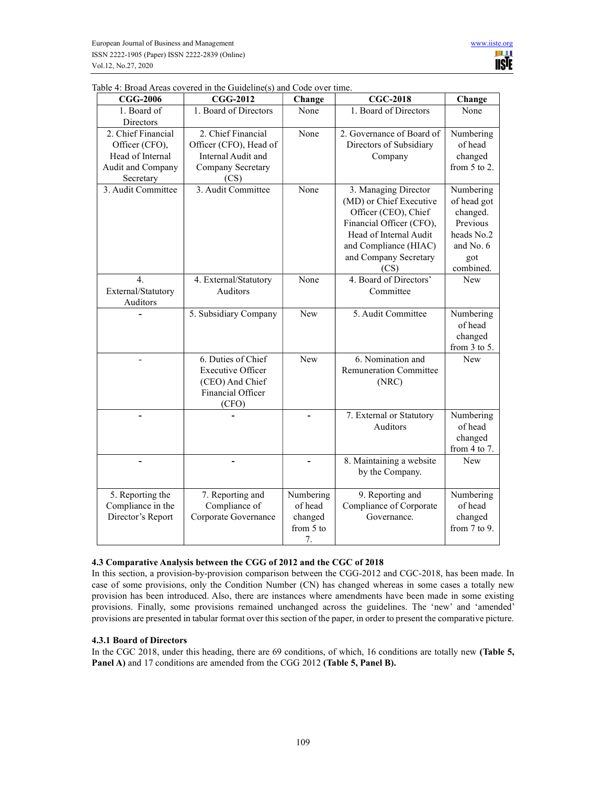| <b>CGG-2006</b>    | <b>CGG-2012</b>          | Change     | <b>CGC-2018</b>               | Change            |
|--------------------|--------------------------|------------|-------------------------------|-------------------|
| 1. Board of        | 1. Board of Directors    | None       | 1. Board of Directors         | None              |
| Directors          |                          |            |                               |                   |
| 2. Chief Financial | 2. Chief Financial       | None       | 2. Governance of Board of     | Numbering         |
| Officer (CFO),     | Officer (CFO), Head of   |            | Directors of Subsidiary       | of head           |
| Head of Internal   | Internal Audit and       |            | Company                       | changed           |
| Audit and Company  | Company Secretary        |            |                               | from $5$ to $2$ . |
| Secretary          | (CS)                     |            |                               |                   |
| 3. Audit Committee | 3. Audit Committee       | None       | 3. Managing Director          | Numbering         |
|                    |                          |            | (MD) or Chief Executive       | of head got       |
|                    |                          |            | Officer (CEO), Chief          | changed.          |
|                    |                          |            | Financial Officer (CFO),      | Previous          |
|                    |                          |            | Head of Internal Audit        | heads No.2        |
|                    |                          |            | and Compliance (HIAC)         | and No. 6         |
|                    |                          |            | and Company Secretary         | got               |
|                    |                          |            | (CS)                          | combined.         |
| 4.                 | 4. External/Statutory    | None       | 4. Board of Directors'        | <b>New</b>        |
| External/Statutory | Auditors                 |            | Committee                     |                   |
| Auditors           |                          |            |                               |                   |
|                    | 5. Subsidiary Company    | <b>New</b> | 5. Audit Committee            | Numbering         |
|                    |                          |            |                               | of head           |
|                    |                          |            |                               | changed           |
|                    |                          |            |                               | from 3 to 5.      |
|                    | 6. Duties of Chief       | New        | 6. Nomination and             | New               |
|                    | <b>Executive Officer</b> |            | <b>Remuneration Committee</b> |                   |
|                    | (CEO) And Chief          |            | (NRC)                         |                   |
|                    | Financial Officer        |            |                               |                   |
|                    | (CFO)                    |            |                               |                   |
|                    |                          |            | 7. External or Statutory      | Numbering         |
|                    |                          |            | Auditors                      | of head           |
|                    |                          |            |                               | changed           |
|                    |                          |            |                               | from 4 to 7.      |
|                    |                          |            | 8. Maintaining a website      | New               |
|                    |                          |            | by the Company.               |                   |
|                    |                          |            |                               |                   |
| 5. Reporting the   | 7. Reporting and         | Numbering  | 9. Reporting and              | Numbering         |
| Compliance in the  | Compliance of            | of head    | Compliance of Corporate       | of head           |
| Director's Report  | Corporate Governance     | changed    | Governance.                   | changed           |
|                    |                          | from 5 to  |                               | from 7 to 9.      |
|                    |                          | 7.         |                               |                   |

Table 4: Broad Areas covered in the Guideline(s) and Code over time.

## 4.3 Comparative Analysis between the CGG of 2012 and the CGC of 2018

In this section, a provision-by-provision comparison between the CGG-2012 and CGC-2018, has been made. In case of some provisions, only the Condition Number (CN) has changed whereas in some cases a totally new provision has been introduced. Also, there are instances where amendments have been made in some existing provisions. Finally, some provisions remained unchanged across the guidelines. The 'new' and 'amended' provisions are presented in tabular format over this section of the paper, in order to present the comparative picture.

### 4.3.1 Board of Directors

In the CGC 2018, under this heading, there are 69 conditions, of which, 16 conditions are totally new (Table 5, Panel A) and 17 conditions are amended from the CGG 2012 (Table 5, Panel B).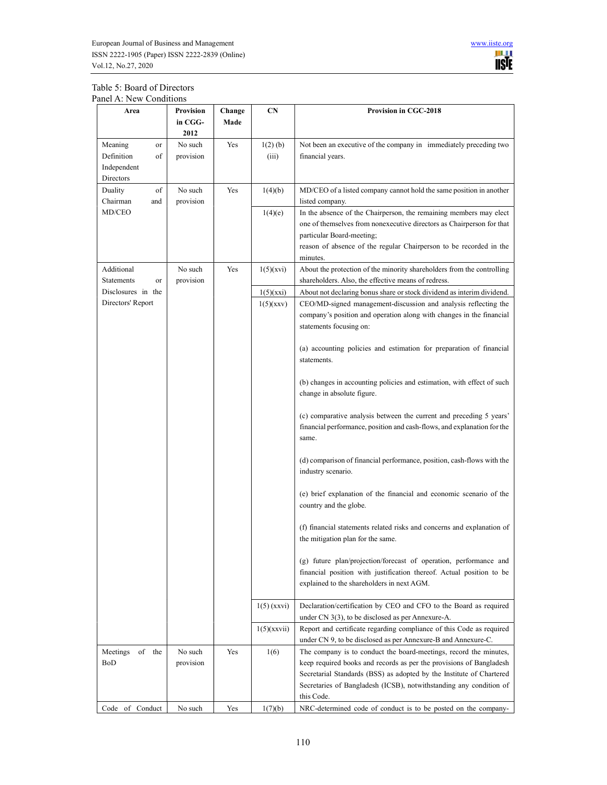

# Table 5: Board of Directors Panel A: New Conditions

| Area                                                          | Provision<br>in CGG-<br>2012 | Change<br>Made | <b>CN</b>           | <b>Provision in CGC-2018</b>                                                                                                                                                                                                                                                                         |
|---------------------------------------------------------------|------------------------------|----------------|---------------------|------------------------------------------------------------------------------------------------------------------------------------------------------------------------------------------------------------------------------------------------------------------------------------------------------|
| Meaning<br>or<br>Definition<br>of<br>Independent<br>Directors | No such<br>provision         | Yes            | $1(2)$ (b)<br>(iii) | Not been an executive of the company in immediately preceding two<br>financial years.                                                                                                                                                                                                                |
| of<br>Duality<br>Chairman<br>and                              | No such<br>provision         | Yes            | 1(4)(b)             | MD/CEO of a listed company cannot hold the same position in another<br>listed company.                                                                                                                                                                                                               |
| MD/CEO                                                        |                              |                | 1(4)(e)             | In the absence of the Chairperson, the remaining members may elect<br>one of themselves from nonexecutive directors as Chairperson for that<br>particular Board-meeting;<br>reason of absence of the regular Chairperson to be recorded in the<br>minutes.                                           |
| Additional<br><b>Statements</b><br>or                         | No such<br>provision         | Yes            | $1(5)$ (xvi)        | About the protection of the minority shareholders from the controlling<br>shareholders. Also, the effective means of redress.                                                                                                                                                                        |
| Disclosures in the                                            |                              |                | 1(5)(xxi)           | About not declaring bonus share or stock dividend as interim dividend.                                                                                                                                                                                                                               |
| Directors' Report                                             |                              |                | $1(5)$ (xxv)        | CEO/MD-signed management-discussion and analysis reflecting the<br>company's position and operation along with changes in the financial<br>statements focusing on:                                                                                                                                   |
|                                                               |                              |                |                     | (a) accounting policies and estimation for preparation of financial<br>statements.                                                                                                                                                                                                                   |
|                                                               |                              |                |                     | (b) changes in accounting policies and estimation, with effect of such<br>change in absolute figure.                                                                                                                                                                                                 |
|                                                               |                              |                |                     | (c) comparative analysis between the current and preceding 5 years'<br>financial performance, position and cash-flows, and explanation for the<br>same.                                                                                                                                              |
|                                                               |                              |                |                     | (d) comparison of financial performance, position, cash-flows with the<br>industry scenario.                                                                                                                                                                                                         |
|                                                               |                              |                |                     | (e) brief explanation of the financial and economic scenario of the<br>country and the globe.                                                                                                                                                                                                        |
|                                                               |                              |                |                     | (f) financial statements related risks and concerns and explanation of<br>the mitigation plan for the same.                                                                                                                                                                                          |
|                                                               |                              |                |                     | (g) future plan/projection/forecast of operation, performance and<br>financial position with justification thereof. Actual position to be<br>explained to the shareholders in next AGM.                                                                                                              |
|                                                               |                              |                | $1(5)$ (xxvi)       | Declaration/certification by CEO and CFO to the Board as required<br>under CN 3(3), to be disclosed as per Annexure-A.                                                                                                                                                                               |
|                                                               |                              |                | 1(5)(xxvii)         | Report and certificate regarding compliance of this Code as required<br>under CN 9, to be disclosed as per Annexure-B and Annexure-C.                                                                                                                                                                |
| Meetings<br>of the<br>BoD                                     | No such<br>provision         | Yes            | 1(6)                | The company is to conduct the board-meetings, record the minutes,<br>keep required books and records as per the provisions of Bangladesh<br>Secretarial Standards (BSS) as adopted by the Institute of Chartered<br>Secretaries of Bangladesh (ICSB), notwithstanding any condition of<br>this Code. |
| Code of Conduct                                               | No such                      | Yes            | 1(7)(b)             | NRC-determined code of conduct is to be posted on the company-                                                                                                                                                                                                                                       |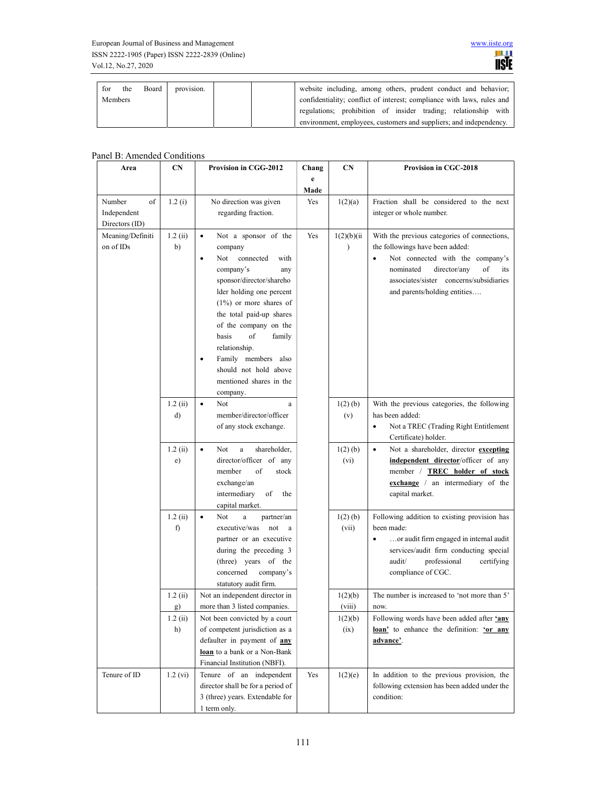| for | the            | Board | provision. | website including, among others, prudent conduct and behavior;         |
|-----|----------------|-------|------------|------------------------------------------------------------------------|
|     | <b>Members</b> |       |            | confidentiality; conflict of interest; compliance with laws, rules and |
|     |                |       |            | regulations; prohibition of insider trading; relationship with         |
|     |                |       |            | environment, employees, customers and suppliers; and independency.     |

# Panel B: Amended Conditions

| Area                                          | CN            | Provision in CGG-2012                                                                                                                                                                                                                                                                                                                                                                             | Chang     | <b>CN</b>                | <b>Provision in CGC-2018</b>                                                                                                                                                                                                             |  |
|-----------------------------------------------|---------------|---------------------------------------------------------------------------------------------------------------------------------------------------------------------------------------------------------------------------------------------------------------------------------------------------------------------------------------------------------------------------------------------------|-----------|--------------------------|------------------------------------------------------------------------------------------------------------------------------------------------------------------------------------------------------------------------------------------|--|
|                                               |               |                                                                                                                                                                                                                                                                                                                                                                                                   | e<br>Made |                          |                                                                                                                                                                                                                                          |  |
| Number<br>of<br>Independent<br>Directors (ID) | 1.2(i)        | No direction was given<br>regarding fraction.                                                                                                                                                                                                                                                                                                                                                     | Yes       | 1(2)(a)                  | Fraction shall be considered to the next<br>integer or whole number.                                                                                                                                                                     |  |
| Meaning/Definiti<br>on of IDs                 | 1.2(i)<br>b)  | Not a sponsor of the<br>$\bullet$<br>company<br>connected<br>Not<br>with<br>$\bullet$<br>company's<br>any<br>sponsor/director/shareho<br>lder holding one percent<br>$(1\%)$ or more shares of<br>the total paid-up shares<br>of the company on the<br>basis<br>of<br>family<br>relationship.<br>Family members also<br>$\bullet$<br>should not hold above<br>mentioned shares in the<br>company. | Yes       | 1(2)(b)(ii)<br>$\lambda$ | With the previous categories of connections,<br>the followings have been added:<br>Not connected with the company's<br>nominated<br>director/any<br>of<br>its<br>associates/sister concerns/subsidiaries<br>and parents/holding entities |  |
|                                               | 1.2(i)<br>d)  | Not<br>$\bullet$<br>a<br>member/director/officer<br>of any stock exchange.                                                                                                                                                                                                                                                                                                                        |           | $1(2)$ (b)<br>(v)        | With the previous categories, the following<br>has been added:<br>Not a TREC (Trading Right Entitlement<br>$\bullet$<br>Certificate) holder.                                                                                             |  |
|                                               | 1.2(i)<br>e)  | Not<br>$\rm{a}$<br>shareholder,<br>$\bullet$<br>director/officer of any<br>of<br>member<br>stock<br>exchange/an<br>intermediary<br>of<br>the<br>capital market.                                                                                                                                                                                                                                   |           | $1(2)$ (b)<br>(vi)       | Not a shareholder, director excepting<br>$\bullet$<br>independent director/officer of any<br>member / TREC holder of stock<br>exchange / an intermediary of the<br>capital market.                                                       |  |
|                                               | 1.2(i)<br>f)  | $\bullet$<br>Not<br>$\rm{a}$<br>partner/an<br>executive/was<br>not<br>a<br>partner or an executive<br>during the preceding 3<br>(three) years of the<br>concerned<br>company's<br>statutory audit firm.                                                                                                                                                                                           |           | $1(2)$ (b)<br>(vii)      | Following addition to existing provision has<br>been made:<br>or audit firm engaged in internal audit<br>services/audit firm conducting special<br>audit/<br>professional<br>certifying<br>compliance of CGC.                            |  |
|                                               | 1.2(i)<br>g)  | Not an independent director in<br>more than 3 listed companies.                                                                                                                                                                                                                                                                                                                                   |           | 1(2)(b)<br>(viii)        | The number is increased to 'not more than 5'<br>now.                                                                                                                                                                                     |  |
|                                               | 1.2(i)<br>h)  | Not been convicted by a court<br>of competent jurisdiction as a<br>defaulter in payment of any<br>loan to a bank or a Non-Bank<br>Financial Institution (NBFI).                                                                                                                                                                                                                                   |           | 1(2)(b)<br>(ix)          | Following words have been added after 'any<br>loan' to enhance the definition: 'or any<br>advance'.                                                                                                                                      |  |
| Tenure of ID                                  | $1.2 \; (vi)$ | Tenure of an independent<br>director shall be for a period of<br>3 (three) years. Extendable for<br>1 term only.                                                                                                                                                                                                                                                                                  | Yes       | 1(2)(e)                  | In addition to the previous provision, the<br>following extension has been added under the<br>condition:                                                                                                                                 |  |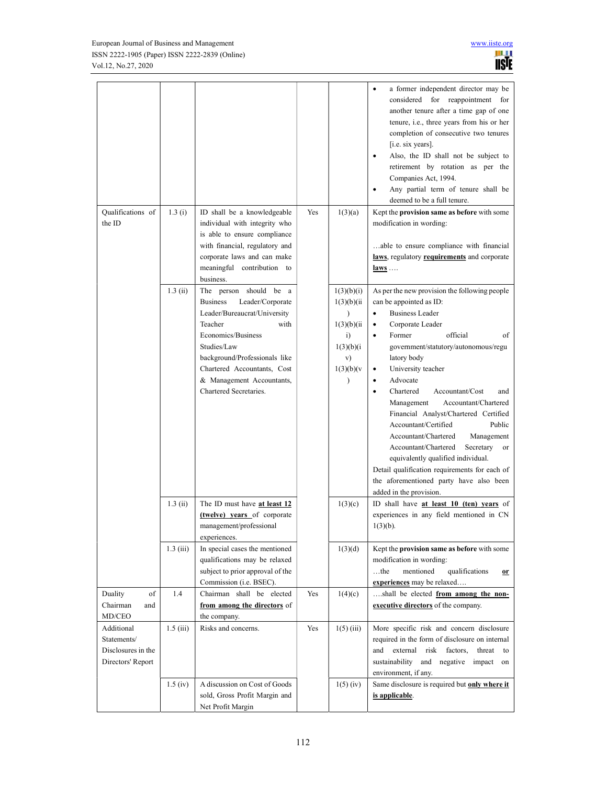|                                   |             |                                                                     |     |                              | a former independent director may be<br>considered for reappointment for<br>another tenure after a time gap of one<br>tenure, i.e., three years from his or her<br>completion of consecutive two tenures<br>[i.e. six years].<br>Also, the ID shall not be subject to<br>retirement by rotation as per the<br>Companies Act, 1994.<br>Any partial term of tenure shall be<br>$\bullet$<br>deemed to be a full tenure. |
|-----------------------------------|-------------|---------------------------------------------------------------------|-----|------------------------------|-----------------------------------------------------------------------------------------------------------------------------------------------------------------------------------------------------------------------------------------------------------------------------------------------------------------------------------------------------------------------------------------------------------------------|
| Qualifications of                 | 1.3(i)      | ID shall be a knowledgeable                                         | Yes | 1(3)(a)                      | Kept the provision same as before with some                                                                                                                                                                                                                                                                                                                                                                           |
| the ID                            |             | individual with integrity who                                       |     |                              | modification in wording:                                                                                                                                                                                                                                                                                                                                                                                              |
|                                   |             | is able to ensure compliance<br>with financial, regulatory and      |     |                              | able to ensure compliance with financial                                                                                                                                                                                                                                                                                                                                                                              |
|                                   |             | corporate laws and can make                                         |     |                              | laws, regulatory requirements and corporate                                                                                                                                                                                                                                                                                                                                                                           |
|                                   |             | meaningful contribution to<br>business.                             |     |                              | $laws$                                                                                                                                                                                                                                                                                                                                                                                                                |
|                                   | 1.3(i)      | The person should be a                                              |     | 1(3)(b)(i)                   | As per the new provision the following people                                                                                                                                                                                                                                                                                                                                                                         |
|                                   |             | <b>Business</b><br>Leader/Corporate<br>Leader/Bureaucrat/University |     | 1(3)(b)(ii)                  | can be appointed as ID:<br><b>Business Leader</b><br>$\bullet$                                                                                                                                                                                                                                                                                                                                                        |
|                                   |             | Teacher<br>with                                                     |     | $\mathcal{E}$<br>1(3)(b)(ii) | Corporate Leader<br>٠                                                                                                                                                                                                                                                                                                                                                                                                 |
|                                   |             | Economics/Business                                                  |     | $\ddot{i}$                   | official<br>Former<br>of<br>$\bullet$                                                                                                                                                                                                                                                                                                                                                                                 |
|                                   |             | Studies/Law                                                         |     | 1(3)(b)(i)                   | government/statutory/autonomous/regu                                                                                                                                                                                                                                                                                                                                                                                  |
|                                   |             | background/Professionals like                                       |     | v)                           | latory body                                                                                                                                                                                                                                                                                                                                                                                                           |
|                                   |             | Chartered Accountants, Cost<br>& Management Accountants,            |     | 1(3)(b)(v)<br>$\lambda$      | University teacher<br>Advocate<br>$\bullet$                                                                                                                                                                                                                                                                                                                                                                           |
|                                   |             | Chartered Secretaries.                                              |     |                              | Chartered<br>Accountant/Cost<br>and<br>$\bullet$                                                                                                                                                                                                                                                                                                                                                                      |
|                                   |             |                                                                     |     |                              | Management<br>Accountant/Chartered<br>Financial Analyst/Chartered Certified                                                                                                                                                                                                                                                                                                                                           |
|                                   |             |                                                                     |     |                              | Accountant/Certified<br>Public<br>Management<br>Accountant/Chartered                                                                                                                                                                                                                                                                                                                                                  |
|                                   |             |                                                                     |     |                              | Accountant/Chartered<br>Secretary<br>or                                                                                                                                                                                                                                                                                                                                                                               |
|                                   |             |                                                                     |     |                              | equivalently qualified individual.                                                                                                                                                                                                                                                                                                                                                                                    |
|                                   |             |                                                                     |     |                              | Detail qualification requirements for each of                                                                                                                                                                                                                                                                                                                                                                         |
|                                   |             |                                                                     |     |                              | the aforementioned party have also been                                                                                                                                                                                                                                                                                                                                                                               |
|                                   | 1.3(i)      | The ID must have at least 12                                        |     | 1(3)(c)                      | added in the provision.<br>ID shall have at least 10 (ten) years of                                                                                                                                                                                                                                                                                                                                                   |
|                                   |             | (twelve) years of corporate                                         |     |                              | experiences in any field mentioned in CN                                                                                                                                                                                                                                                                                                                                                                              |
|                                   |             | management/professional<br>experiences.                             |     |                              | $1(3)(b)$ .                                                                                                                                                                                                                                                                                                                                                                                                           |
|                                   | $1.3$ (iii) | In special cases the mentioned                                      |     | 1(3)(d)                      | Kept the provision same as before with some                                                                                                                                                                                                                                                                                                                                                                           |
|                                   |             | qualifications may be relaxed<br>subject to prior approval of the   |     |                              | modification in wording:<br>$$ the<br>mentioned<br>qualifications                                                                                                                                                                                                                                                                                                                                                     |
|                                   |             | Commission (i.e. BSEC).                                             |     |                              | $or$<br>experiences may be relaxed                                                                                                                                                                                                                                                                                                                                                                                    |
| of<br>Duality                     | 1.4         | Chairman shall be elected                                           | Yes | 1(4)(c)                      | shall be elected from among the non-                                                                                                                                                                                                                                                                                                                                                                                  |
| Chairman<br>and<br>MD/CEO         |             | from among the directors of<br>the company.                         |     |                              | executive directors of the company.                                                                                                                                                                                                                                                                                                                                                                                   |
| Additional                        | 1.5(iii)    | Risks and concerns.                                                 | Yes | $1(5)$ (iii)                 | More specific risk and concern disclosure                                                                                                                                                                                                                                                                                                                                                                             |
| Statements/<br>Disclosures in the |             |                                                                     |     |                              | required in the form of disclosure on internal<br>external<br>risk factors,<br>threat<br>and<br>to                                                                                                                                                                                                                                                                                                                    |
| Directors' Report                 |             |                                                                     |     |                              | sustainability and negative impact<br>on                                                                                                                                                                                                                                                                                                                                                                              |
|                                   |             |                                                                     |     |                              | environment, if any.                                                                                                                                                                                                                                                                                                                                                                                                  |
|                                   | $1.5$ (iv)  | A discussion on Cost of Goods                                       |     | $1(5)$ (iv)                  | Same disclosure is required but only where it                                                                                                                                                                                                                                                                                                                                                                         |
|                                   |             | sold, Gross Profit Margin and<br>Net Profit Margin                  |     |                              | is applicable.                                                                                                                                                                                                                                                                                                                                                                                                        |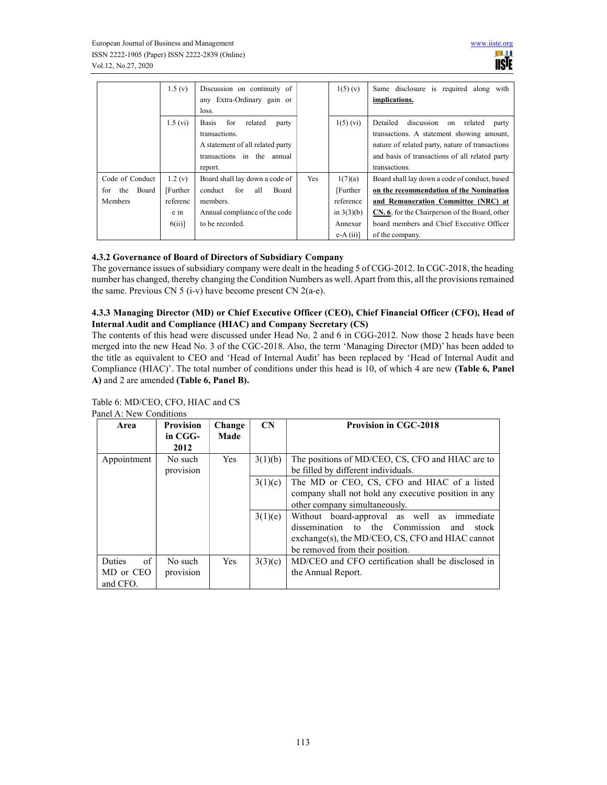|                  | 1.5(y)        | Discussion on continuity of<br>any Extra-Ordinary gain or |     | 1(5)(v)      | Same disclosure is required along with<br>implications. |
|------------------|---------------|-----------------------------------------------------------|-----|--------------|---------------------------------------------------------|
|                  |               | loss.                                                     |     |              |                                                         |
|                  | $1.5 \, (vi)$ | related<br><b>Basis</b><br>for<br>party                   |     | $1(5)$ (vi)  | discussion<br>Detailed<br>related<br>on<br>party        |
|                  |               | transactions.                                             |     |              | transactions. A statement showing amount,               |
|                  |               | A statement of all related party                          |     |              | nature of related party, nature of transactions         |
|                  |               | transactions in the annual                                |     |              | and basis of transactions of all related party          |
|                  |               | report.                                                   |     |              | transactions.                                           |
| Code of Conduct  | 1.2(y)        | Board shall lay down a code of                            | Yes | 1(7)(a)      | Board shall lay down a code of conduct, based           |
| the Board<br>for | [Further]     | for<br>conduct<br>Board<br>all                            |     | [Further]    | on the recommendation of the Nomination                 |
| <b>Members</b>   | referenc      | members.                                                  |     | reference    | and Remuneration Committee (NRC) at                     |
|                  | e in          | Annual compliance of the code                             |     | in $3(3)(b)$ | CN. 6, for the Chairperson of the Board, other          |
|                  | $6(ii)$ ]     | to be recorded.                                           |     | Annexur      | board members and Chief Executive Officer               |
|                  |               |                                                           |     | $e-A(i)$     | of the company.                                         |

# 4.3.2 Governance of Board of Directors of Subsidiary Company

The governance issues of subsidiary company were dealt in the heading 5 of CGG-2012. In CGC-2018, the heading number has changed, thereby changing the Condition Numbers as well. Apart from this, all the provisions remained the same. Previous CN 5 (i-v) have become present CN 2(a-e).

## 4.3.3 Managing Director (MD) or Chief Executive Officer (CEO), Chief Financial Officer (CFO), Head of Internal Audit and Compliance (HIAC) and Company Secretary (CS)

The contents of this head were discussed under Head No. 2 and 6 in CGG-2012. Now those 2 heads have been merged into the new Head No. 3 of the CGC-2018. Also, the term 'Managing Director (MD)' has been added to the title as equivalent to CEO and 'Head of Internal Audit' has been replaced by 'Head of Internal Audit and Compliance (HIAC)'. The total number of conditions under this head is 10, of which 4 are new (Table 6, Panel A) and 2 are amended (Table 6, Panel B).

| Area                | <b>Provision</b> | Change     | $\mathbf{CN}$ | <b>Provision in CGC-2018</b>                              |
|---------------------|------------------|------------|---------------|-----------------------------------------------------------|
|                     | in CGG-          | Made       |               |                                                           |
|                     | 2012             |            |               |                                                           |
| Appointment         | No such          | <b>Yes</b> | 3(1)(b)       | The positions of MD/CEO, CS, CFO and HIAC are to          |
|                     | provision        |            |               | be filled by different individuals.                       |
|                     |                  |            | 3(1)(c)       | The MD or CEO, CS, CFO and HIAC of a listed               |
|                     |                  |            |               | company shall not hold any executive position in any      |
|                     |                  |            |               | other company simultaneously.                             |
|                     |                  |            | 3(1)(e)       | Without board-approval as well as immediate               |
|                     |                  |            |               | dissemination to the Commission<br>and<br>stock           |
|                     |                  |            |               | $\alpha$ exchange(s), the MD/CEO, CS, CFO and HIAC cannot |
|                     |                  |            |               | be removed from their position.                           |
| of<br><b>Duties</b> | No such          | <b>Yes</b> | 3(3)(c)       | MD/CEO and CFO certification shall be disclosed in        |
| MD or CEO           | provision        |            |               | the Annual Report.                                        |
| and CFO.            |                  |            |               |                                                           |

Table 6: MD/CEO, CFO, HIAC and CS Panel A: New Conditions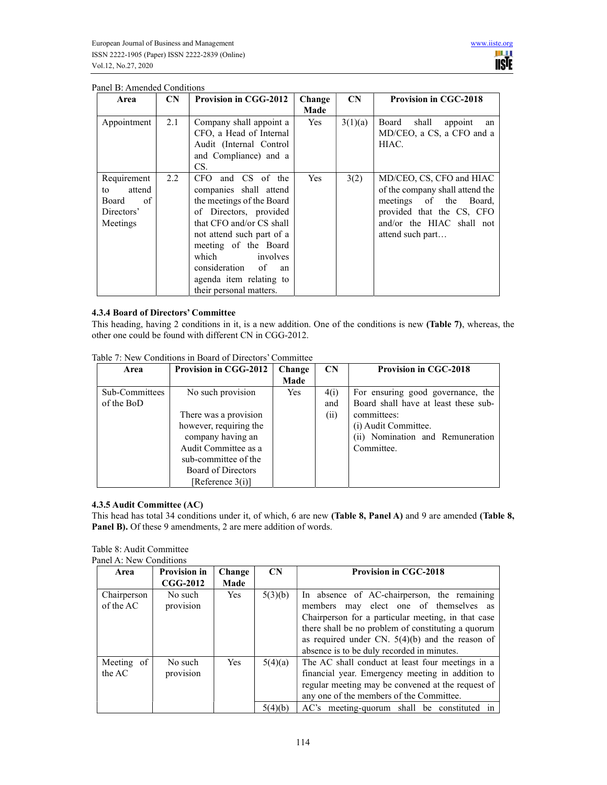| Area                                                                 | <b>CN</b> | <b>Provision in CGG-2012</b>                                                                                                                                                                                                                                                                    | Change<br>Made | CN      | <b>Provision in CGC-2018</b>                                                                                                                                           |
|----------------------------------------------------------------------|-----------|-------------------------------------------------------------------------------------------------------------------------------------------------------------------------------------------------------------------------------------------------------------------------------------------------|----------------|---------|------------------------------------------------------------------------------------------------------------------------------------------------------------------------|
| Appointment                                                          | 2.1       | Company shall appoint a<br>CFO, a Head of Internal<br>Audit (Internal Control<br>and Compliance) and a<br>CS.                                                                                                                                                                                   | Yes            | 3(1)(a) | Board<br>shall<br>appoint<br>an<br>MD/CEO, a CS, a CFO and a<br>HIAC.                                                                                                  |
| Requirement<br>attend<br>to<br>of<br>Board<br>Directors'<br>Meetings | 2.2       | and CS of the<br>CFO.<br>companies shall attend<br>the meetings of the Board<br>of Directors, provided<br>that CFO and/or CS shall<br>not attend such part of a<br>meeting of the Board<br>which<br>involves<br>consideration<br>of<br>an<br>agenda item relating to<br>their personal matters. | Yes            | 3(2)    | MD/CEO, CS, CFO and HIAC<br>of the company shall attend the<br>meetings of the<br>Board,<br>provided that the CS, CFO<br>and/or the HIAC shall not<br>attend such part |

## Panel B: Amended Conditions

## 4.3.4 Board of Directors' Committee

This heading, having 2 conditions in it, is a new addition. One of the conditions is new (Table 7), whereas, the other one could be found with different CN in CGG-2012.

| Area           | <b>Provision in CGG-2012</b> | Change     | $\mathbf{CN}$ | <b>Provision in CGC-2018</b>         |
|----------------|------------------------------|------------|---------------|--------------------------------------|
|                |                              | Made       |               |                                      |
| Sub-Committees | No such provision            | <b>Yes</b> | 4(i)          | For ensuring good governance, the    |
| of the BoD     |                              |            | and           | Board shall have at least these sub- |
|                | There was a provision        |            | (ii)          | committees:                          |
|                | however, requiring the       |            |               | (i) Audit Committee.                 |
|                | company having an            |            |               | (ii) Nomination and Remuneration     |
|                | Audit Committee as a         |            |               | Committee.                           |
|                | sub-committee of the         |            |               |                                      |
|                | Board of Directors           |            |               |                                      |
|                | [Reference 3(i)]             |            |               |                                      |

Table 7: New Conditions in Board of Directors' Committee

### 4.3.5 Audit Committee (AC)

This head has total 34 conditions under it, of which, 6 are new (Table 8, Panel A) and 9 are amended (Table 8, Panel B). Of these 9 amendments, 2 are mere addition of words.

| Panel A: New Conditions  |                      |            |                    |                                                                                                                                                                                                                                                                                                      |
|--------------------------|----------------------|------------|--------------------|------------------------------------------------------------------------------------------------------------------------------------------------------------------------------------------------------------------------------------------------------------------------------------------------------|
| Area                     | <b>Provision in</b>  | Change     | $\mathbf{CN}$      | <b>Provision in CGC-2018</b>                                                                                                                                                                                                                                                                         |
|                          | $CGG-2012$           | Made       |                    |                                                                                                                                                                                                                                                                                                      |
| Chairperson<br>of the AC | No such<br>provision | <b>Yes</b> | 5(3)(b)            | In absence of AC-chairperson, the remaining<br>members may elect one of themselves as<br>Chairperson for a particular meeting, in that case<br>there shall be no problem of constituting a quorum<br>as required under CN. $5(4)(b)$ and the reason of<br>absence is to be duly recorded in minutes. |
| Meeting of<br>the AC     | No such<br>provision | <b>Yes</b> | 5(4)(a)<br>5(4)(b) | The AC shall conduct at least four meetings in a<br>financial year. Emergency meeting in addition to<br>regular meeting may be convened at the request of<br>any one of the members of the Committee.<br>AC's meeting-quorum shall be constituted in                                                 |

Table 8: Audit Committee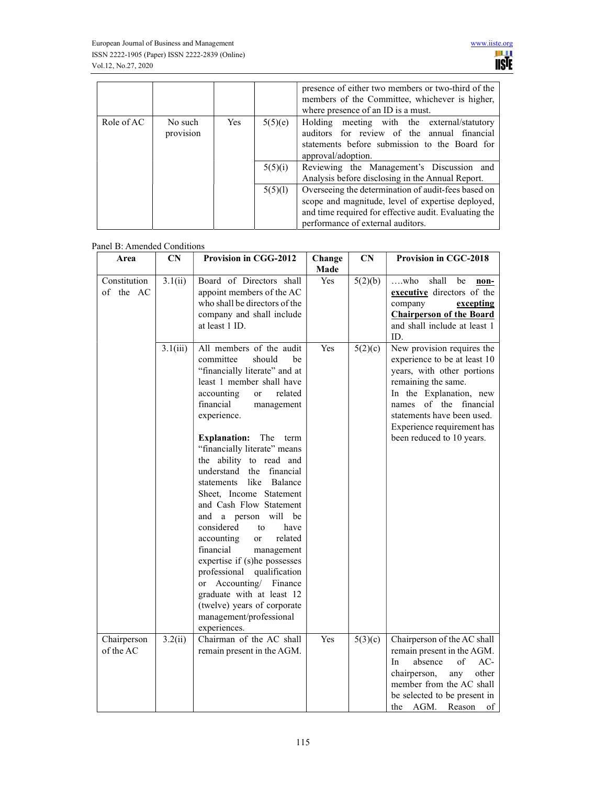|            |                      |            |         | presence of either two members or two-third of the<br>members of the Committee, whichever is higher,<br>where presence of an ID is a must.                                                             |
|------------|----------------------|------------|---------|--------------------------------------------------------------------------------------------------------------------------------------------------------------------------------------------------------|
| Role of AC | No such<br>provision | <b>Yes</b> | 5(5)(e) | Holding meeting with the external/statutory<br>auditors for review of the annual financial<br>statements before submission to the Board for<br>approval/adoption.                                      |
|            |                      |            | 5(5)(i) | Reviewing the Management's Discussion and<br>Analysis before disclosing in the Annual Report.                                                                                                          |
|            |                      |            | 5(5)(1) | Overseeing the determination of audit-fees based on<br>scope and magnitude, level of expertise deployed,<br>and time required for effective audit. Evaluating the<br>performance of external auditors. |

| Panel B: Amended Conditions<br>Area | CN       | Provision in CGG-2012                                                                                                                                                                                                                                                                                                                                                                                                                                                                                                                                                                                                                                                                                                                                                  |                | CN      | Provision in CGC-2018                                                                                                                                                                                                                                            |
|-------------------------------------|----------|------------------------------------------------------------------------------------------------------------------------------------------------------------------------------------------------------------------------------------------------------------------------------------------------------------------------------------------------------------------------------------------------------------------------------------------------------------------------------------------------------------------------------------------------------------------------------------------------------------------------------------------------------------------------------------------------------------------------------------------------------------------------|----------------|---------|------------------------------------------------------------------------------------------------------------------------------------------------------------------------------------------------------------------------------------------------------------------|
|                                     |          |                                                                                                                                                                                                                                                                                                                                                                                                                                                                                                                                                                                                                                                                                                                                                                        | Change<br>Made |         |                                                                                                                                                                                                                                                                  |
| Constitution<br>of the AC           | 3.1(ii)  | Board of Directors shall<br>appoint members of the AC<br>who shall be directors of the<br>company and shall include<br>at least 1 ID.                                                                                                                                                                                                                                                                                                                                                                                                                                                                                                                                                                                                                                  | <b>Yes</b>     | 5(2)(b) | shall<br>$\dots$ who<br>be<br>non-<br>executive directors of the<br>company<br>excepting<br><b>Chairperson of the Board</b><br>and shall include at least 1<br>ID.                                                                                               |
|                                     | 3.1(iii) | All members of the audit<br>committee<br>should<br>be<br>"financially literate" and at<br>least 1 member shall have<br>related<br>accounting<br><sub>or</sub><br>financial<br>management<br>experience.<br><b>Explanation:</b> The term<br>"financially literate" means<br>the ability to read and<br>understand<br>financial<br>the<br>like<br>Balance<br>statements<br>Sheet, Income Statement<br>and Cash Flow Statement<br>and a person will<br>be<br>considered<br>have<br>to<br>accounting<br>related<br><b>or</b><br>financial<br>management<br>expertise if (s)he possesses<br>professional<br>qualification<br>Accounting/<br>Finance<br><sub>or</sub><br>graduate with at least 12<br>(twelve) years of corporate<br>management/professional<br>experiences. | Yes            | 5(2)(c) | New provision requires the<br>experience to be at least 10<br>years, with other portions<br>remaining the same.<br>In the Explanation, new<br>of the financial<br>names<br>statements have been used.<br>Experience requirement has<br>been reduced to 10 years. |
| Chairperson<br>of the AC            | 3.2(ii)  | Chairman of the AC shall<br>remain present in the AGM.                                                                                                                                                                                                                                                                                                                                                                                                                                                                                                                                                                                                                                                                                                                 | Yes            | 5(3)(c) | Chairperson of the AC shall<br>remain present in the AGM.<br>AC-<br>absence<br>of<br>In<br>other<br>chairperson,<br>any<br>member from the AC shall<br>be selected to be present in<br>AGM.<br>Reason<br>of<br>the                                               |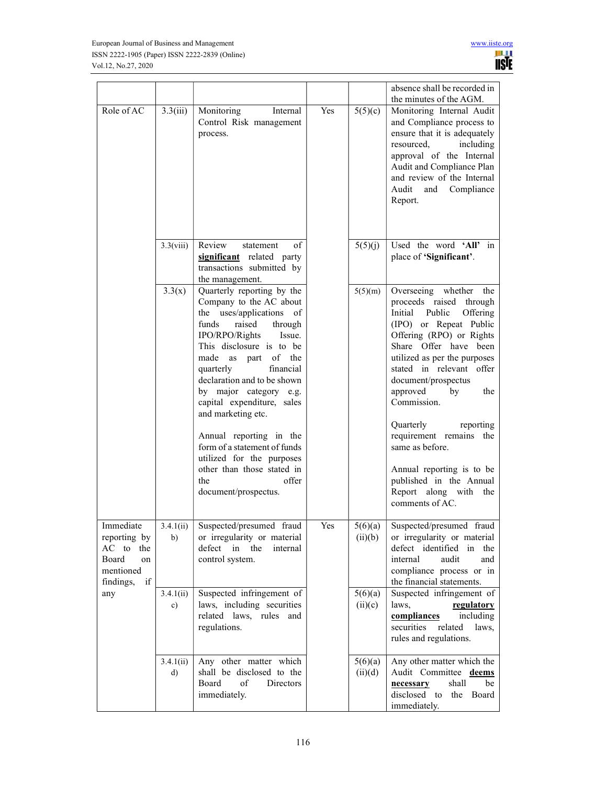|                                                                                    |                           |                                                                                                                                                                                                                                                                                                                                                                                                                                                                                                              |     |                    | absence shall be recorded in<br>the minutes of the AGM.                                                                                                                                                                                                                                                                                                                                                                                                                  |
|------------------------------------------------------------------------------------|---------------------------|--------------------------------------------------------------------------------------------------------------------------------------------------------------------------------------------------------------------------------------------------------------------------------------------------------------------------------------------------------------------------------------------------------------------------------------------------------------------------------------------------------------|-----|--------------------|--------------------------------------------------------------------------------------------------------------------------------------------------------------------------------------------------------------------------------------------------------------------------------------------------------------------------------------------------------------------------------------------------------------------------------------------------------------------------|
| Role of AC                                                                         | 3.3(iii)                  | Internal<br>Monitoring<br>Control Risk management<br>process.                                                                                                                                                                                                                                                                                                                                                                                                                                                | Yes | 5(5)(c)            | Monitoring Internal Audit<br>and Compliance process to<br>ensure that it is adequately<br>resourced,<br>including<br>approval of the Internal<br>Audit and Compliance Plan<br>and review of the Internal<br>Audit<br>and Compliance<br>Report.                                                                                                                                                                                                                           |
|                                                                                    | 3.3(viii)                 | Review<br>of<br>statement<br>significant related party<br>transactions submitted by<br>the management.                                                                                                                                                                                                                                                                                                                                                                                                       |     | 5(5)(j)            | Used the word 'All' in<br>place of 'Significant'.                                                                                                                                                                                                                                                                                                                                                                                                                        |
|                                                                                    | 3.3(x)                    | Quarterly reporting by the<br>Company to the AC about<br>the uses/applications of<br>raised<br>funds<br>through<br>IPO/RPO/Rights<br>Issue.<br>This disclosure is to be<br>made<br>as<br>of the<br>part<br>financial<br>quarterly<br>declaration and to be shown<br>by major category e.g.<br>capital expenditure, sales<br>and marketing etc.<br>Annual reporting in the<br>form of a statement of funds<br>utilized for the purposes<br>other than those stated in<br>the<br>offer<br>document/prospectus. |     | 5(5)(m)            | Overseeing whether the<br>proceeds raised through<br>Initial<br>Public<br>Offering<br>(IPO) or Repeat Public<br>Offering (RPO) or Rights<br>Share Offer have been<br>utilized as per the purposes<br>stated in relevant offer<br>document/prospectus<br>approved<br>by<br>the<br>Commission.<br>Quarterly<br>reporting<br>requirement remains the<br>same as before.<br>Annual reporting is to be<br>published in the Annual<br>Report along with the<br>comments of AC. |
| Immediate<br>reporting by<br>AC to the<br>Board<br>on<br>mentioned<br>findings, if | b)                        | $3.4.1(ii)$ Suspected/presumed fraud<br>or irregularity or material<br>defect in the<br>internal<br>control system.                                                                                                                                                                                                                                                                                                                                                                                          | Yes | (ii)(b)            | $5(6)(a)$ Suspected/presumed fraud<br>or irregularity or material<br>defect identified in the<br>internal<br>audit<br>and<br>compliance process or in<br>the financial statements.                                                                                                                                                                                                                                                                                       |
| any                                                                                | 3.4.1(ii)<br>c)           | Suspected infringement of<br>laws, including securities<br>related laws, rules and<br>regulations.                                                                                                                                                                                                                                                                                                                                                                                                           |     | 5(6)(a)<br>(ii)(c) | Suspected infringement of<br>laws,<br>regulatory<br>compliances<br>including<br>related<br>securities<br>laws,<br>rules and regulations.                                                                                                                                                                                                                                                                                                                                 |
|                                                                                    | 3.4.1(ii)<br>$\mathbf{d}$ | Any other matter which<br>shall be disclosed to the<br>Board<br>of<br>Directors<br>immediately.                                                                                                                                                                                                                                                                                                                                                                                                              |     | 5(6)(a)<br>(ii)(d) | Any other matter which the<br>Audit Committee deems<br>shall<br>be<br>necessary<br>disclosed to the Board<br>immediately.                                                                                                                                                                                                                                                                                                                                                |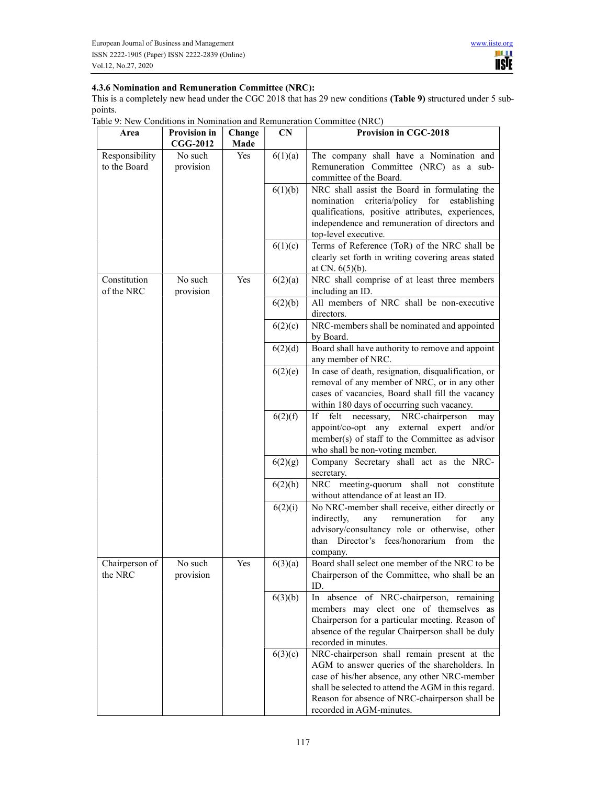## 4.3.6 Nomination and Remuneration Committee (NRC):

This is a completely new head under the CGC 2018 that has 29 new conditions (Table 9) structured under 5 subpoints.

|  |  |  | Table 9: New Conditions in Nomination and Remuneration Committee (NRC) |  |  |  |
|--|--|--|------------------------------------------------------------------------|--|--|--|
|--|--|--|------------------------------------------------------------------------|--|--|--|

| Area                           | <b>Provision in</b>  | Change | <b>CN</b> | <b>Provision in CGC-2018</b>                                                                                                                                                                                                                                                       |
|--------------------------------|----------------------|--------|-----------|------------------------------------------------------------------------------------------------------------------------------------------------------------------------------------------------------------------------------------------------------------------------------------|
|                                | <b>CGG-2012</b>      | Made   |           |                                                                                                                                                                                                                                                                                    |
| Responsibility<br>to the Board | No such<br>provision | Yes    | 6(1)(a)   | The company shall have a Nomination and<br>Remuneration Committee (NRC) as a sub-<br>committee of the Board.                                                                                                                                                                       |
|                                |                      |        | 6(1)(b)   | NRC shall assist the Board in formulating the<br>criteria/policy for<br>nomination<br>establishing<br>qualifications, positive attributes, experiences,<br>independence and remuneration of directors and<br>top-level executive.                                                  |
|                                |                      |        | 6(1)(c)   | Terms of Reference (ToR) of the NRC shall be<br>clearly set forth in writing covering areas stated<br>at CN. $6(5)(b)$ .                                                                                                                                                           |
| Constitution<br>of the NRC     | No such<br>provision | Yes    | 6(2)(a)   | NRC shall comprise of at least three members<br>including an ID.                                                                                                                                                                                                                   |
|                                |                      |        | 6(2)(b)   | All members of NRC shall be non-executive<br>directors.                                                                                                                                                                                                                            |
|                                |                      |        | 6(2)(c)   | NRC-members shall be nominated and appointed<br>by Board.                                                                                                                                                                                                                          |
|                                |                      |        | 6(2)(d)   | Board shall have authority to remove and appoint<br>any member of NRC.                                                                                                                                                                                                             |
|                                |                      |        | 6(2)(e)   | In case of death, resignation, disqualification, or<br>removal of any member of NRC, or in any other<br>cases of vacancies, Board shall fill the vacancy<br>within 180 days of occurring such vacancy.                                                                             |
|                                |                      |        | 6(2)(f)   | If<br>felt<br>NRC-chairperson<br>necessary,<br>may<br>appoint/co-opt any external expert and/or<br>member(s) of staff to the Committee as advisor<br>who shall be non-voting member.                                                                                               |
|                                |                      |        | 6(2)(g)   | Company Secretary shall act as the NRC-<br>secretary.                                                                                                                                                                                                                              |
|                                |                      |        | 6(2)(h)   | NRC meeting-quorum shall not constitute<br>without attendance of at least an ID.                                                                                                                                                                                                   |
|                                |                      |        | 6(2)(i)   | No NRC-member shall receive, either directly or<br>remuneration<br>for<br>indirectly,<br>any<br>any<br>advisory/consultancy role or otherwise, other<br>Director's fees/honorarium from the<br>than<br>company.                                                                    |
| Chairperson of<br>the NRC      | No such<br>provision | Yes    | 6(3)(a)   | Board shall select one member of the NRC to be<br>Chairperson of the Committee, who shall be an<br>ID.                                                                                                                                                                             |
|                                |                      |        | 6(3)(b)   | absence of NRC-chairperson, remaining<br>In<br>members may elect one of themselves as<br>Chairperson for a particular meeting. Reason of<br>absence of the regular Chairperson shall be duly<br>recorded in minutes.                                                               |
|                                |                      |        | 6(3)(c)   | NRC-chairperson shall remain present at the<br>AGM to answer queries of the shareholders. In<br>case of his/her absence, any other NRC-member<br>shall be selected to attend the AGM in this regard.<br>Reason for absence of NRC-chairperson shall be<br>recorded in AGM-minutes. |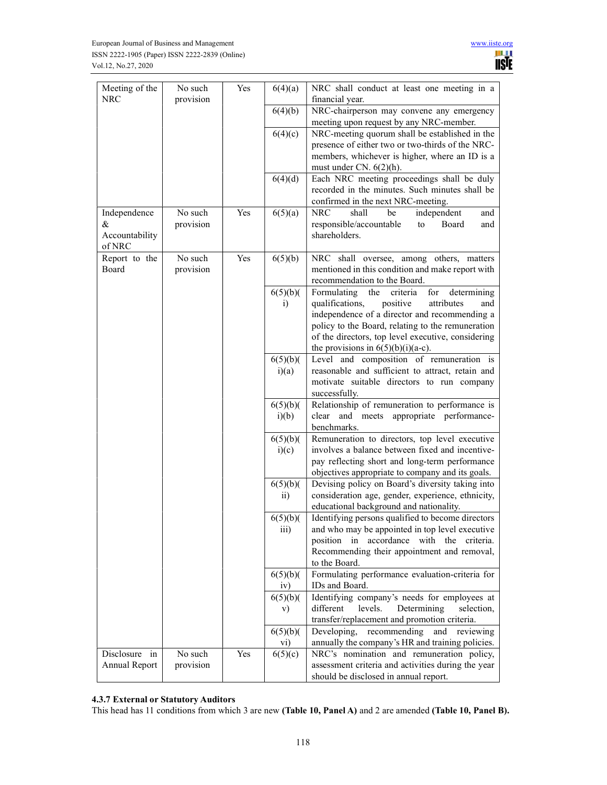| Meeting of the<br><b>NRC</b>                  | No such<br>provision | Yes | 6(4)(a)                    | NRC shall conduct at least one meeting in a<br>financial year.                                                                                                                                                                                                                                                |
|-----------------------------------------------|----------------------|-----|----------------------------|---------------------------------------------------------------------------------------------------------------------------------------------------------------------------------------------------------------------------------------------------------------------------------------------------------------|
|                                               |                      |     | 6(4)(b)                    | NRC-chairperson may convene any emergency<br>meeting upon request by any NRC-member.                                                                                                                                                                                                                          |
|                                               |                      |     | 6(4)(c)                    | NRC-meeting quorum shall be established in the<br>presence of either two or two-thirds of the NRC-<br>members, whichever is higher, where an ID is a<br>must under CN. $6(2)(h)$ .                                                                                                                            |
|                                               |                      |     | 6(4)(d)                    | Each NRC meeting proceedings shall be duly<br>recorded in the minutes. Such minutes shall be<br>confirmed in the next NRC-meeting.                                                                                                                                                                            |
| Independence<br>&<br>Accountability<br>of NRC | No such<br>provision | Yes | 6(5)(a)                    | <b>NRC</b><br>shall<br>be<br>independent<br>and<br>responsible/accountable<br>Board<br>to<br>and<br>shareholders.                                                                                                                                                                                             |
| Report to the<br>Board                        | No such<br>provision | Yes | 6(5)(b)                    | NRC shall oversee, among others, matters<br>mentioned in this condition and make report with<br>recommendation to the Board.                                                                                                                                                                                  |
|                                               |                      |     | 6(5)(b)<br>i)              | Formulating<br>the<br>criteria<br>for<br>determining<br>qualifications,<br>positive<br>attributes<br>and<br>independence of a director and recommending a<br>policy to the Board, relating to the remuneration<br>of the directors, top level executive, considering<br>the provisions in $6(5)(b)(i)(a-c)$ . |
|                                               |                      |     | 6(5)(b)<br>i)(a)           | Level and composition of remuneration is<br>reasonable and sufficient to attract, retain and<br>motivate suitable directors to run company<br>successfully.                                                                                                                                                   |
|                                               |                      |     | 6(5)(b)<br>i)(b)           | Relationship of remuneration to performance is<br>clear and meets appropriate performance-<br>benchmarks.                                                                                                                                                                                                     |
|                                               |                      |     | 6(5)(b)(<br>i)(c)          | Remuneration to directors, top level executive<br>involves a balance between fixed and incentive-<br>pay reflecting short and long-term performance<br>objectives appropriate to company and its goals.                                                                                                       |
|                                               |                      |     | 6(5)(b)<br>$\overline{ii}$ | Devising policy on Board's diversity taking into<br>consideration age, gender, experience, ethnicity,<br>educational background and nationality.                                                                                                                                                              |
|                                               |                      |     | 6(5)(b)<br>111)            | Identifying persons qualified to become directors<br>and who may be appointed in top level executive<br>position in accordance with the criteria.<br>Recommending their appointment and removal,<br>to the Board.                                                                                             |
|                                               |                      |     | 6(5)(b)<br>iv)             | Formulating performance evaluation-criteria for<br>IDs and Board.                                                                                                                                                                                                                                             |
|                                               |                      |     | 6(5)(b)<br>V)              | Identifying company's needs for employees at<br>levels.<br>Determining<br>different<br>selection,<br>transfer/replacement and promotion criteria.                                                                                                                                                             |
|                                               |                      |     | 6(5)(b)<br>vi)             | Developing,<br>recommending<br>and<br>reviewing<br>annually the company's HR and training policies.                                                                                                                                                                                                           |
| Disclosure in<br>Annual Report                | No such<br>provision | Yes | 6(5)(c)                    | NRC's nomination and remuneration policy,<br>assessment criteria and activities during the year<br>should be disclosed in annual report.                                                                                                                                                                      |

# 4.3.7 External or Statutory Auditors

This head has 11 conditions from which 3 are new (Table 10, Panel A) and 2 are amended (Table 10, Panel B).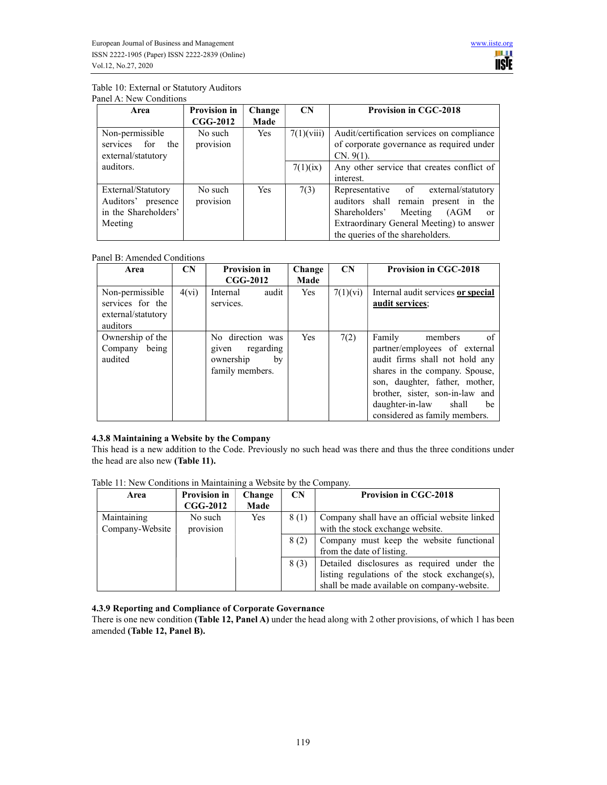#### Table 10: External or Statutory Auditors Panel A: New Conditions

| Area                                                                        | <b>Provision in</b><br>$CGG-2012$ | Change<br>Made | $\mathbf{CN}$ | <b>Provision in CGC-2018</b>                                                                                                                                                                                  |
|-----------------------------------------------------------------------------|-----------------------------------|----------------|---------------|---------------------------------------------------------------------------------------------------------------------------------------------------------------------------------------------------------------|
| Non-permissible<br>services for<br>the<br>external/statutory                | No such<br>provision              | <b>Yes</b>     | 7(1)(viii)    | Audit/certification services on compliance<br>of corporate governance as required under<br>$CN. 9(1)$ .                                                                                                       |
| auditors.                                                                   |                                   |                | 7(1)(ix)      | Any other service that creates conflict of<br>interest.                                                                                                                                                       |
| External/Statutory<br>Auditors' presence<br>in the Shareholders'<br>Meeting | No such<br>provision              | <b>Yes</b>     | 7(3)          | Representative of external/statutory<br>auditors shall remain present in the<br>Shareholders'<br>Meeting<br>(AGM)<br>$\alpha$<br>Extraordinary General Meeting) to answer<br>the queries of the shareholders. |

# Panel B: Amended Conditions

| Area                                                                  | $\mathbf{CN}$ | <b>Provision in</b><br>$CGG-2012$                                            | Change<br>Made | $\mathbf{C}$ N | <b>Provision in CGC-2018</b>                                                                                                                                                                                                                                          |
|-----------------------------------------------------------------------|---------------|------------------------------------------------------------------------------|----------------|----------------|-----------------------------------------------------------------------------------------------------------------------------------------------------------------------------------------------------------------------------------------------------------------------|
| Non-permissible<br>services for the<br>external/statutory<br>auditors | 4(vi)         | audit<br>Internal<br>services.                                               | <b>Yes</b>     | 7(1)(vi)       | Internal audit services or special<br>audit services;                                                                                                                                                                                                                 |
| Ownership of the<br>Company being<br>audited                          |               | No direction was<br>regarding<br>given<br>ownership<br>by<br>family members. | <b>Yes</b>     | 7(2)           | Family<br>members<br>0f.<br>partner/employees of external<br>audit firms shall not hold any<br>shares in the company. Spouse,<br>son, daughter, father, mother,<br>brother, sister, son-in-law and<br>daughter-in-law<br>shall<br>be<br>considered as family members. |

# 4.3.8 Maintaining a Website by the Company

This head is a new addition to the Code. Previously no such head was there and thus the three conditions under the head are also new (Table 11).

Table 11: New Conditions in Maintaining a Website by the Company.

| Area            | Provision in    | Change | $\mathbf{CN}$ | <b>Provision in CGC-2018</b>                  |
|-----------------|-----------------|--------|---------------|-----------------------------------------------|
|                 | <b>CGG-2012</b> | Made   |               |                                               |
| Maintaining     | No such         | Yes    | 8(1)          | Company shall have an official website linked |
| Company-Website | provision       |        |               | with the stock exchange website.              |
|                 |                 |        | 8(2)          | Company must keep the website functional      |
|                 |                 |        |               | from the date of listing.                     |
|                 |                 |        | 8(3)          | Detailed disclosures as required under the    |
|                 |                 |        |               | listing regulations of the stock exchange(s), |
|                 |                 |        |               | shall be made available on company-website.   |

## 4.3.9 Reporting and Compliance of Corporate Governance

There is one new condition (Table 12, Panel A) under the head along with 2 other provisions, of which 1 has been amended (Table 12, Panel B).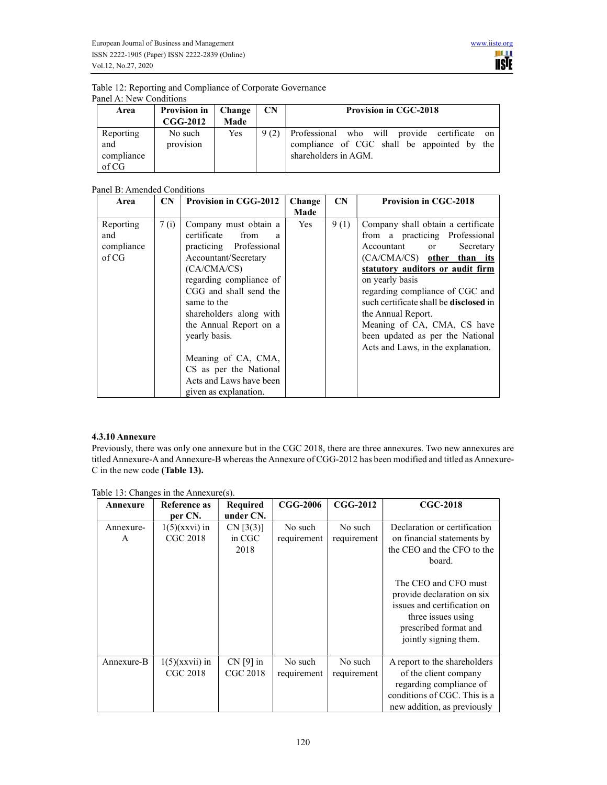| Table 12: Reporting and Compliance of Corporate Governance |  |
|------------------------------------------------------------|--|
| Panel A: New Conditions                                    |  |

| Area                                    | <b>Provision in</b><br>$CGG-2012$ | <b>Change</b><br>Made | <b>CN</b> | <b>Provision in CGC-2018</b>                                                                                           |
|-----------------------------------------|-----------------------------------|-----------------------|-----------|------------------------------------------------------------------------------------------------------------------------|
| Reporting<br>and<br>compliance<br>of CG | No such<br>provision              | Yes                   | 9(2)      | Professional who will provide certificate<br>on<br>compliance of CGC shall be appointed by the<br>shareholders in AGM. |

## Panel B: Amended Conditions

| Area                                    | CN   | <b>Provision in CGG-2012</b>                                                                                                                                                                                                                                  | Change | <b>CN</b> | <b>Provision in CGC-2018</b>                                                                                                                                                                                                                                                                                                                                                                                                                                                                                                                                                                                                              |
|-----------------------------------------|------|---------------------------------------------------------------------------------------------------------------------------------------------------------------------------------------------------------------------------------------------------------------|--------|-----------|-------------------------------------------------------------------------------------------------------------------------------------------------------------------------------------------------------------------------------------------------------------------------------------------------------------------------------------------------------------------------------------------------------------------------------------------------------------------------------------------------------------------------------------------------------------------------------------------------------------------------------------------|
|                                         |      |                                                                                                                                                                                                                                                               | Made   |           |                                                                                                                                                                                                                                                                                                                                                                                                                                                                                                                                                                                                                                           |
| Reporting<br>and<br>compliance<br>of CG | 7(i) | Company must obtain a<br>certificate<br>from<br>a<br>practicing Professional<br>Accountant/Secretary<br>(CA/CMA/CS)<br>regarding compliance of<br>CGG and shall send the<br>same to the<br>shareholders along with<br>the Annual Report on a<br>yearly basis. | Yes    | 9(1)      | Company shall obtain a certificate<br>from a practicing Professional<br>Accountant<br>Secretary<br>or and the control of the control of the control of the control of the control of the control of the control of the control of the control of the control of the control of the control of the control of the control of the c<br>(CA/CMA/CS) other than its<br>statutory auditors or audit firm<br>on yearly basis<br>regarding compliance of CGC and<br>such certificate shall be <b>disclosed</b> in<br>the Annual Report.<br>Meaning of CA, CMA, CS have<br>been updated as per the National<br>Acts and Laws, in the explanation. |
|                                         |      | Meaning of CA, CMA,<br>CS as per the National<br>Acts and Laws have been<br>given as explanation.                                                                                                                                                             |        |           |                                                                                                                                                                                                                                                                                                                                                                                                                                                                                                                                                                                                                                           |

## 4.3.10 Annexure

Previously, there was only one annexure but in the CGC 2018, there are three annexures. Two new annexures are titled Annexure-A and Annexure-B whereas the Annexure of CGG-2012 has been modified and titled as Annexure-C in the new code (Table 13).

| Annexure       | Reference as<br>per CN.       | <b>Required</b><br>under CN.   | <b>CGG-2006</b>        | $CGG-2012$             | <b>CGC-2018</b>                                                                                                                                                                                                                                                 |
|----------------|-------------------------------|--------------------------------|------------------------|------------------------|-----------------------------------------------------------------------------------------------------------------------------------------------------------------------------------------------------------------------------------------------------------------|
| Annexure-<br>A | $1(5)$ (xxvi) in<br>CGC 2018  | CN [3(3)]<br>in CGC<br>2018    | No such<br>requirement | No such<br>requirement | Declaration or certification<br>on financial statements by<br>the CEO and the CFO to the<br>board.<br>The CEO and CFO must<br>provide declaration on six<br>issues and certification on<br>three issues using<br>prescribed format and<br>jointly signing them. |
| Annexure-B     | $1(5)$ (xxvii) in<br>CGC 2018 | $CN$ [9] in<br><b>CGC 2018</b> | No such<br>requirement | No such<br>requirement | A report to the shareholders<br>of the client company<br>regarding compliance of<br>conditions of CGC. This is a<br>new addition, as previously                                                                                                                 |

Table 13: Changes in the Annexure(s).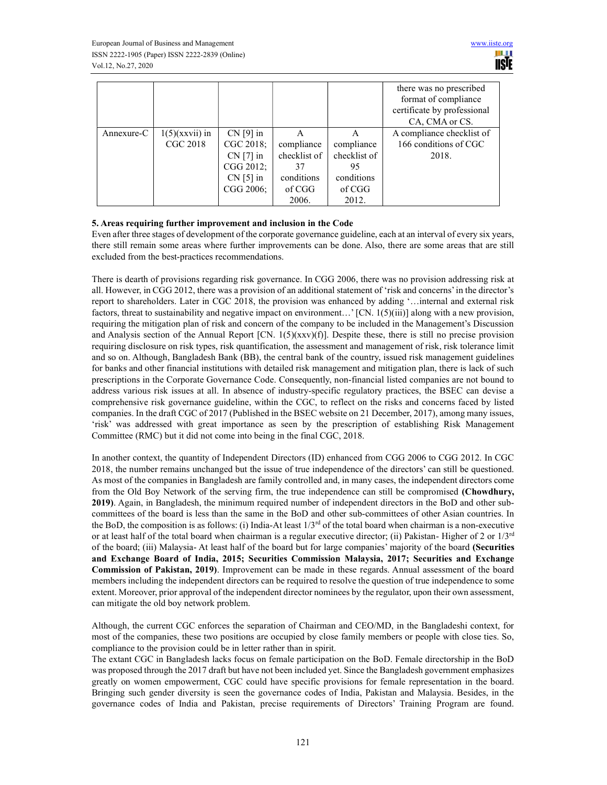|            |                   |             |              |              | there was no prescribed<br>format of compliance<br>certificate by professional<br>CA, CMA or CS. |
|------------|-------------------|-------------|--------------|--------------|--------------------------------------------------------------------------------------------------|
| Annexure-C | $1(5)$ (xxvii) in | $CN$ [9] in | A            | A            | A compliance checklist of                                                                        |
|            | CGC 2018          | CGC 2018;   | compliance   | compliance   | 166 conditions of CGC                                                                            |
|            |                   | $CN$ [7] in | checklist of | checklist of | 2018.                                                                                            |
|            |                   | CGG 2012;   | 37           | 95           |                                                                                                  |
|            |                   | $CN$ [5] in | conditions   | conditions   |                                                                                                  |
|            |                   | CGG 2006;   | of CGG       | of CGG       |                                                                                                  |
|            |                   |             | 2006.        | 2012.        |                                                                                                  |

### 5. Areas requiring further improvement and inclusion in the Code

Even after three stages of development of the corporate governance guideline, each at an interval of every six years, there still remain some areas where further improvements can be done. Also, there are some areas that are still excluded from the best-practices recommendations.

There is dearth of provisions regarding risk governance. In CGG 2006, there was no provision addressing risk at all. However, in CGG 2012, there was a provision of an additional statement of 'risk and concerns' in the director's report to shareholders. Later in CGC 2018, the provision was enhanced by adding '…internal and external risk factors, threat to sustainability and negative impact on environment...'  $[CN. 1(5)(iii)]$  along with a new provision, requiring the mitigation plan of risk and concern of the company to be included in the Management's Discussion and Analysis section of the Annual Report  $[CN. 1(5)(xx)(f)]$ . Despite these, there is still no precise provision requiring disclosure on risk types, risk quantification, the assessment and management of risk, risk tolerance limit and so on. Although, Bangladesh Bank (BB), the central bank of the country, issued risk management guidelines for banks and other financial institutions with detailed risk management and mitigation plan, there is lack of such prescriptions in the Corporate Governance Code. Consequently, non-financial listed companies are not bound to address various risk issues at all. In absence of industry-specific regulatory practices, the BSEC can devise a comprehensive risk governance guideline, within the CGC, to reflect on the risks and concerns faced by listed companies. In the draft CGC of 2017 (Published in the BSEC website on 21 December, 2017), among many issues, 'risk' was addressed with great importance as seen by the prescription of establishing Risk Management Committee (RMC) but it did not come into being in the final CGC, 2018.

In another context, the quantity of Independent Directors (ID) enhanced from CGG 2006 to CGG 2012. In CGC 2018, the number remains unchanged but the issue of true independence of the directors' can still be questioned. As most of the companies in Bangladesh are family controlled and, in many cases, the independent directors come from the Old Boy Network of the serving firm, the true independence can still be compromised (Chowdhury, 2019). Again, in Bangladesh, the minimum required number of independent directors in the BoD and other subcommittees of the board is less than the same in the BoD and other sub-committees of other Asian countries. In the BoD, the composition is as follows: (i) India-At least  $1/3<sup>rd</sup>$  of the total board when chairman is a non-executive or at least half of the total board when chairman is a regular executive director; (ii) Pakistan-Higher of 2 or  $1/3<sup>rd</sup>$ of the board; (iii) Malaysia- At least half of the board but for large companies' majority of the board (Securities and Exchange Board of India, 2015; Securities Commission Malaysia, 2017; Securities and Exchange Commission of Pakistan, 2019). Improvement can be made in these regards. Annual assessment of the board members including the independent directors can be required to resolve the question of true independence to some extent. Moreover, prior approval of the independent director nominees by the regulator, upon their own assessment, can mitigate the old boy network problem.

Although, the current CGC enforces the separation of Chairman and CEO/MD, in the Bangladeshi context, for most of the companies, these two positions are occupied by close family members or people with close ties. So, compliance to the provision could be in letter rather than in spirit.

The extant CGC in Bangladesh lacks focus on female participation on the BoD. Female directorship in the BoD was proposed through the 2017 draft but have not been included yet. Since the Bangladesh government emphasizes greatly on women empowerment, CGC could have specific provisions for female representation in the board. Bringing such gender diversity is seen the governance codes of India, Pakistan and Malaysia. Besides, in the governance codes of India and Pakistan, precise requirements of Directors' Training Program are found.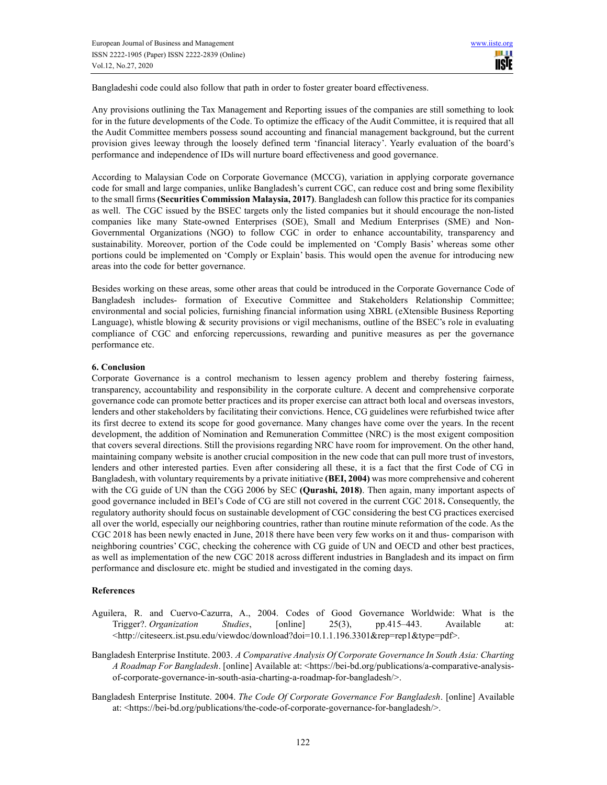Bangladeshi code could also follow that path in order to foster greater board effectiveness.

Any provisions outlining the Tax Management and Reporting issues of the companies are still something to look for in the future developments of the Code. To optimize the efficacy of the Audit Committee, it is required that all the Audit Committee members possess sound accounting and financial management background, but the current provision gives leeway through the loosely defined term 'financial literacy'. Yearly evaluation of the board's performance and independence of IDs will nurture board effectiveness and good governance.

According to Malaysian Code on Corporate Governance (MCCG), variation in applying corporate governance code for small and large companies, unlike Bangladesh's current CGC, can reduce cost and bring some flexibility to the small firms (Securities Commission Malaysia, 2017). Bangladesh can follow this practice for its companies as well. The CGC issued by the BSEC targets only the listed companies but it should encourage the non-listed companies like many State-owned Enterprises (SOE), Small and Medium Enterprises (SME) and Non-Governmental Organizations (NGO) to follow CGC in order to enhance accountability, transparency and sustainability. Moreover, portion of the Code could be implemented on 'Comply Basis' whereas some other portions could be implemented on 'Comply or Explain' basis. This would open the avenue for introducing new areas into the code for better governance.

Besides working on these areas, some other areas that could be introduced in the Corporate Governance Code of Bangladesh includes- formation of Executive Committee and Stakeholders Relationship Committee; environmental and social policies, furnishing financial information using XBRL (eXtensible Business Reporting Language), whistle blowing & security provisions or vigil mechanisms, outline of the BSEC's role in evaluating compliance of CGC and enforcing repercussions, rewarding and punitive measures as per the governance performance etc.

#### 6. Conclusion

Corporate Governance is a control mechanism to lessen agency problem and thereby fostering fairness, transparency, accountability and responsibility in the corporate culture. A decent and comprehensive corporate governance code can promote better practices and its proper exercise can attract both local and overseas investors, lenders and other stakeholders by facilitating their convictions. Hence, CG guidelines were refurbished twice after its first decree to extend its scope for good governance. Many changes have come over the years. In the recent development, the addition of Nomination and Remuneration Committee (NRC) is the most exigent composition that covers several directions. Still the provisions regarding NRC have room for improvement. On the other hand, maintaining company website is another crucial composition in the new code that can pull more trust of investors, lenders and other interested parties. Even after considering all these, it is a fact that the first Code of CG in Bangladesh, with voluntary requirements by a private initiative (BEI, 2004) was more comprehensive and coherent with the CG guide of UN than the CGG 2006 by SEC (Qurashi, 2018). Then again, many important aspects of good governance included in BEI's Code of CG are still not covered in the current CGC 2018. Consequently, the regulatory authority should focus on sustainable development of CGC considering the best CG practices exercised all over the world, especially our neighboring countries, rather than routine minute reformation of the code. As the CGC 2018 has been newly enacted in June, 2018 there have been very few works on it and thus- comparison with neighboring countries' CGC, checking the coherence with CG guide of UN and OECD and other best practices, as well as implementation of the new CGC 2018 across different industries in Bangladesh and its impact on firm performance and disclosure etc. might be studied and investigated in the coming days.

#### References

- Aguilera, R. and Cuervo-Cazurra, A., 2004. Codes of Good Governance Worldwide: What is the Trigger?. Organization Studies, [online] 25(3), pp.415–443. Available at: <http://citeseerx.ist.psu.edu/viewdoc/download?doi=10.1.1.196.3301&rep=rep1&type=pdf>.
- Bangladesh Enterprise Institute. 2003. A Comparative Analysis Of Corporate Governance In South Asia: Charting A Roadmap For Bangladesh. [online] Available at: <https://bei-bd.org/publications/a-comparative-analysisof-corporate-governance-in-south-asia-charting-a-roadmap-for-bangladesh/>.
- Bangladesh Enterprise Institute. 2004. The Code Of Corporate Governance For Bangladesh. [online] Available at: <https://bei-bd.org/publications/the-code-of-corporate-governance-for-bangladesh/>.